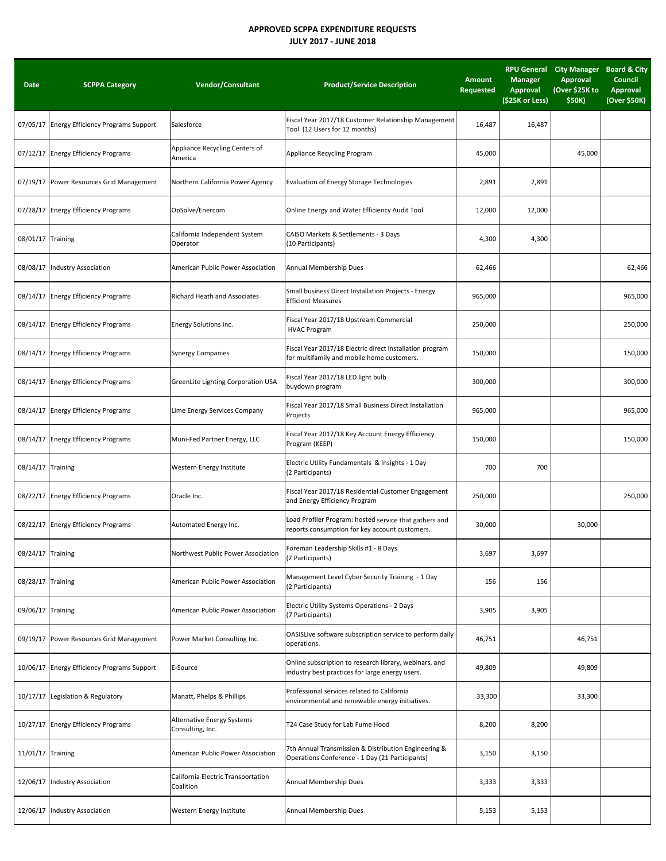## **APPROVED SCPPA EXPENDITURE REQUESTS JULY 2017 ‐ JUNE 2018**

| Date              | <b>SCPPA Category</b>                       | <b>Vendor/Consultant</b>                        | <b>Product/Service Description</b>                                                                        | <b>Amount</b><br><b>Requested</b> | <b>Manager</b><br><b>Approval</b><br>(\$25K or Less) | RPU General City Manager Board & City<br><b>Approval</b><br>(Over \$25K to<br>\$50K) | Council<br><b>Approval</b><br>(Over \$50K) |
|-------------------|---------------------------------------------|-------------------------------------------------|-----------------------------------------------------------------------------------------------------------|-----------------------------------|------------------------------------------------------|--------------------------------------------------------------------------------------|--------------------------------------------|
|                   | 07/05/17 Energy Efficiency Programs Support | Salesforce                                      | Fiscal Year 2017/18 Customer Relationship Management<br>Tool (12 Users for 12 months)                     | 16,487                            | 16,487                                               |                                                                                      |                                            |
|                   | 07/12/17 Energy Efficiency Programs         | Appliance Recycling Centers of<br>America       | Appliance Recycling Program                                                                               | 45,000                            |                                                      | 45,000                                                                               |                                            |
|                   | 07/19/17 Power Resources Grid Management    | Northern California Power Agency                | Evaluation of Energy Storage Technologies                                                                 | 2,891                             | 2,891                                                |                                                                                      |                                            |
|                   | 07/28/17 Energy Efficiency Programs         | OpSolve/Enercom                                 | Online Energy and Water Efficiency Audit Tool                                                             | 12,000                            | 12,000                                               |                                                                                      |                                            |
| 08/01/17 Training |                                             | California Independent System<br>Operator       | CAISO Markets & Settlements - 3 Days<br>(10 Participants)                                                 | 4,300                             | 4,300                                                |                                                                                      |                                            |
|                   | 08/08/17 Industry Association               | American Public Power Association               | Annual Membership Dues                                                                                    | 62,466                            |                                                      |                                                                                      | 62,466                                     |
|                   | 08/14/17 Energy Efficiency Programs         | Richard Heath and Associates                    | Small business Direct Installation Projects - Energy<br><b>Efficient Measures</b>                         | 965,000                           |                                                      |                                                                                      | 965,000                                    |
|                   | 08/14/17 Energy Efficiency Programs         | Energy Solutions Inc.                           | Fiscal Year 2017/18 Upstream Commercial<br><b>HVAC Program</b>                                            | 250,000                           |                                                      |                                                                                      | 250,000                                    |
|                   | 08/14/17 Energy Efficiency Programs         | <b>Synergy Companies</b>                        | Fiscal Year 2017/18 Electric direct installation program<br>for multifamily and mobile home customers.    | 150,000                           |                                                      |                                                                                      | 150,000                                    |
|                   | 08/14/17 Energy Efficiency Programs         | GreenLite Lighting Corporation USA              | Fiscal Year 2017/18 LED light bulb<br>buydown program                                                     | 300,000                           |                                                      |                                                                                      | 300,000                                    |
|                   | 08/14/17 Energy Efficiency Programs         | Lime Energy Services Company                    | Fiscal Year 2017/18 Small Business Direct Installation<br>Projects                                        | 965,000                           |                                                      |                                                                                      | 965,000                                    |
|                   | 08/14/17 Energy Efficiency Programs         | Muni-Fed Partner Energy, LLC                    | Fiscal Year 2017/18 Key Account Energy Efficiency<br>Program (KEEP)                                       | 150,000                           |                                                      |                                                                                      | 150,000                                    |
| 08/14/17 Training |                                             | Western Energy Institute                        | Electric Utility Fundamentals & Insights - 1 Day<br>(2 Participants)                                      | 700                               | 700                                                  |                                                                                      |                                            |
|                   | 08/22/17 Energy Efficiency Programs         | Oracle Inc.                                     | Fiscal Year 2017/18 Residential Customer Engagement<br>and Energy Efficiency Program                      | 250,000                           |                                                      |                                                                                      | 250,000                                    |
|                   | 08/22/17 Energy Efficiency Programs         | Automated Energy Inc.                           | Load Profiler Program: hosted service that gathers and<br>reports consumption for key account customers.  | 30,000                            |                                                      | 30,000                                                                               |                                            |
| 08/24/17 Training |                                             | Northwest Public Power Association              | Foreman Leadership Skills #1 - 8 Days<br>(2 Participants)                                                 | 3,697                             | 3,697                                                |                                                                                      |                                            |
| 08/28/17 Training |                                             | American Public Power Association               | Management Level Cyber Security Training - 1 Day<br>(2 Participants)                                      | 156                               | 156                                                  |                                                                                      |                                            |
| 09/06/17 Training |                                             | American Public Power Association               | Electric Utility Systems Operations - 2 Days<br>(7 Participants)                                          | 3,905                             | 3,905                                                |                                                                                      |                                            |
|                   | 09/19/17 Power Resources Grid Management    | Power Market Consulting Inc.                    | OASISLive software subscription service to perform daily<br>operations.                                   | 46,751                            |                                                      | 46,751                                                                               |                                            |
|                   | 10/06/17 Energy Efficiency Programs Support | E-Source                                        | Online subscription to research library, webinars, and<br>industry best practices for large energy users. | 49,809                            |                                                      | 49,809                                                                               |                                            |
|                   | 10/17/17 Legislation & Regulatory           | Manatt, Phelps & Phillips                       | Professional services related to California<br>environmental and renewable energy initiatives.            | 33,300                            |                                                      | 33,300                                                                               |                                            |
|                   | 10/27/17 Energy Efficiency Programs         | Alternative Energy Systems<br>Consulting, Inc.  | T24 Case Study for Lab Fume Hood                                                                          | 8,200                             | 8,200                                                |                                                                                      |                                            |
| 11/01/17 Training |                                             | American Public Power Association               | 7th Annual Transmission & Distribution Engineering &<br>Operations Conference - 1 Day (21 Participants)   | 3,150                             | 3,150                                                |                                                                                      |                                            |
|                   | 12/06/17 Industry Association               | California Electric Transportation<br>Coalition | Annual Membership Dues                                                                                    | 3,333                             | 3,333                                                |                                                                                      |                                            |
|                   | 12/06/17 Industry Association               | Western Energy Institute                        | Annual Membership Dues                                                                                    | 5,153                             | 5,153                                                |                                                                                      |                                            |